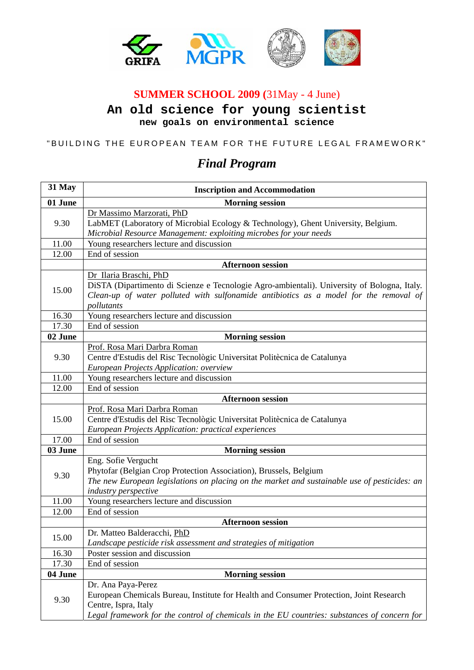

## **SUMMER SCHOOL 2009 (**31May - 4 June)

**An old science for young scientist new goals on environmental science** 

## "BUILDING THE EUROPEAN TEAM FOR THE FUTURE LEGAL FRAMEWORK"

## *Final Program*

| 31 May  | <b>Inscription and Accommodation</b>                                                         |
|---------|----------------------------------------------------------------------------------------------|
| 01 June | <b>Morning session</b>                                                                       |
| 9.30    | Dr Massimo Marzorati, PhD                                                                    |
|         | LabMET (Laboratory of Microbial Ecology & Technology), Ghent University, Belgium.            |
|         | Microbial Resource Management: exploiting microbes for your needs                            |
| 11.00   | Young researchers lecture and discussion                                                     |
| 12.00   | End of session                                                                               |
|         | <b>Afternoon session</b>                                                                     |
|         | Dr Ilaria Braschi, PhD                                                                       |
| 15.00   | DiSTA (Dipartimento di Scienze e Tecnologie Agro-ambientali). University of Bologna, Italy.  |
|         | Clean-up of water polluted with sulfonamide antibiotics as a model for the removal of        |
|         | pollutants                                                                                   |
| 16.30   | Young researchers lecture and discussion                                                     |
| 17.30   | End of session                                                                               |
| 02 June | <b>Morning session</b>                                                                       |
| 9.30    | Prof. Rosa Mari Darbra Roman                                                                 |
|         | Centre d'Estudis del Risc Tecnològic Universitat Politècnica de Catalunya                    |
|         | European Projects Application: overview                                                      |
| 11.00   | Young researchers lecture and discussion                                                     |
| 12.00   | End of session                                                                               |
|         | <b>Afternoon session</b>                                                                     |
| 15.00   | Prof. Rosa Mari Darbra Roman                                                                 |
|         | Centre d'Estudis del Risc Tecnològic Universitat Politècnica de Catalunya                    |
|         | European Projects Application: practical experiences                                         |
| 17.00   | End of session                                                                               |
| 03 June | <b>Morning session</b>                                                                       |
|         | Eng. Sofie Vergucht                                                                          |
| 9.30    | Phytofar (Belgian Crop Protection Association), Brussels, Belgium                            |
|         | The new European legislations on placing on the market and sustainable use of pesticides: an |
| 11.00   | industry perspective<br>Young researchers lecture and discussion                             |
|         |                                                                                              |
| 12.00   | End of session                                                                               |
|         | <b>Afternoon session</b><br>Dr. Matteo Balderacchi, PhD                                      |
| 15.00   | Landscape pesticide risk assessment and strategies of mitigation                             |
| 16.30   | Poster session and discussion                                                                |
| 17.30   | End of session                                                                               |
| 04 June | <b>Morning session</b>                                                                       |
|         | Dr. Ana Paya-Perez                                                                           |
| 9.30    | European Chemicals Bureau, Institute for Health and Consumer Protection, Joint Research      |
|         | Centre, Ispra, Italy                                                                         |
|         | Legal framework for the control of chemicals in the EU countries: substances of concern for  |